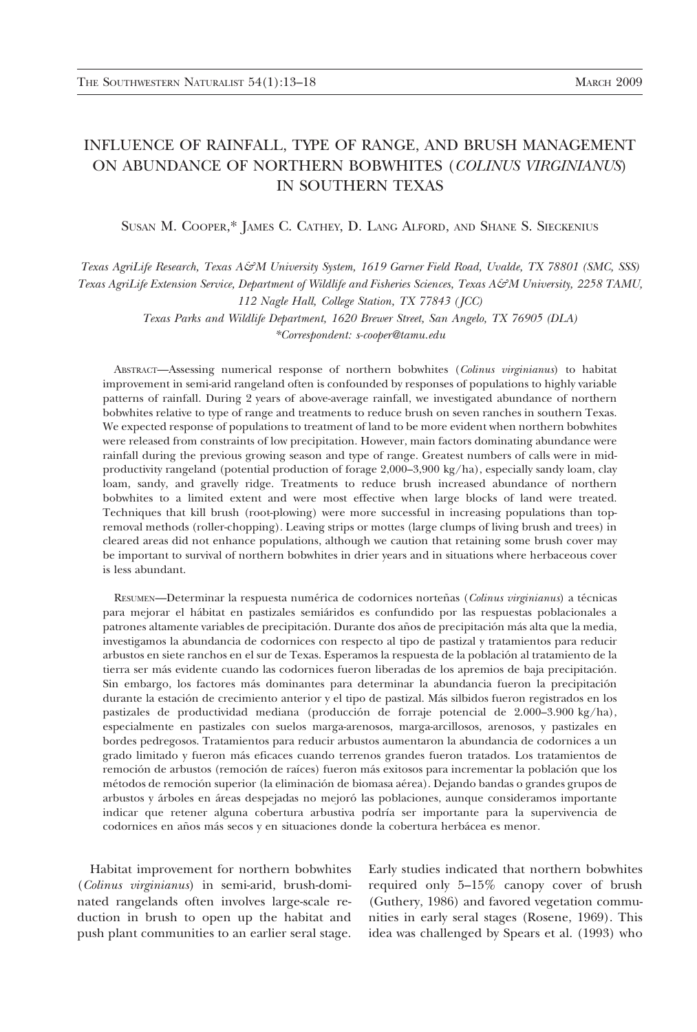## INFLUENCE OF RAINFALL, TYPE OF RANGE, AND BRUSH MANAGEMENT ON ABUNDANCE OF NORTHERN BOBWHITES (COLINUS VIRGINIANUS) IN SOUTHERN TEXAS

SUSAN M. COOPER,\* JAMES C. CATHEY, D. LANG ALFORD, AND SHANE S. SIECKENIUS

## Texas AgriLife Research, Texas A&M University System, 1619 Garner Field Road, Uvalde, TX 78801 (SMC, SSS) Texas AgriLife Extension Service, Department of Wildlife and Fisheries Sciences, Texas A&M University, 2258 TAMU, 112 Nagle Hall, College Station, TX 77843 (JCC) Texas Parks and Wildlife Department, 1620 Brewer Street, San Angelo, TX 76905 (DLA)

\*Correspondent: s-cooper@tamu.edu

ABSTRACT—Assessing numerical response of northern bobwhites (Colinus virginianus) to habitat improvement in semi-arid rangeland often is confounded by responses of populations to highly variable patterns of rainfall. During 2 years of above-average rainfall, we investigated abundance of northern bobwhites relative to type of range and treatments to reduce brush on seven ranches in southern Texas. We expected response of populations to treatment of land to be more evident when northern bobwhites were released from constraints of low precipitation. However, main factors dominating abundance were rainfall during the previous growing season and type of range. Greatest numbers of calls were in midproductivity rangeland (potential production of forage 2,000–3,900 kg/ha), especially sandy loam, clay loam, sandy, and gravelly ridge. Treatments to reduce brush increased abundance of northern bobwhites to a limited extent and were most effective when large blocks of land were treated. Techniques that kill brush (root-plowing) were more successful in increasing populations than topremoval methods (roller-chopping). Leaving strips or mottes (large clumps of living brush and trees) in cleared areas did not enhance populations, although we caution that retaining some brush cover may be important to survival of northern bobwhites in drier years and in situations where herbaceous cover is less abundant.

RESUMEN—Determinar la respuesta numérica de codornices norteñas (Colinus virginianus) a técnicas para mejorar el ha´bitat en pastizales semia´ridos es confundido por las respuestas poblacionales a patrones altamente variables de precipitación. Durante dos años de precipitación más alta que la media, investigamos la abundancia de codornices con respecto al tipo de pastizal y tratamientos para reducir arbustos en siete ranchos en el sur de Texas. Esperamos la respuesta de la población al tratamiento de la tierra ser más evidente cuando las codornices fueron liberadas de los apremios de baja precipitación. Sin embargo, los factores más dominantes para determinar la abundancia fueron la precipitación durante la estación de crecimiento anterior y el tipo de pastizal. Más silbidos fueron registrados en los pastizales de productividad mediana (producción de forraje potencial de 2.000–3.900 kg/ha), especialmente en pastizales con suelos marga-arenosos, marga-arcillosos, arenosos, y pastizales en bordes pedregosos. Tratamientos para reducir arbustos aumentaron la abundancia de codornices a un grado limitado y fueron más eficaces cuando terrenos grandes fueron tratados. Los tratamientos de remoción de arbustos (remoción de raíces) fueron más exitosos para incrementar la población que los métodos de remoción superior (la eliminación de biomasa aérea). Dejando bandas o grandes grupos de arbustos y árboles en áreas despejadas no mejoró las poblaciones, aunque consideramos importante indicar que retener alguna cobertura arbustiva podría ser importante para la supervivencia de codornices en años más secos y en situaciones donde la cobertura herbácea es menor.

Habitat improvement for northern bobwhites (Colinus virginianus) in semi-arid, brush-dominated rangelands often involves large-scale reduction in brush to open up the habitat and push plant communities to an earlier seral stage.

Early studies indicated that northern bobwhites required only 5–15% canopy cover of brush (Guthery, 1986) and favored vegetation communities in early seral stages (Rosene, 1969). This idea was challenged by Spears et al. (1993) who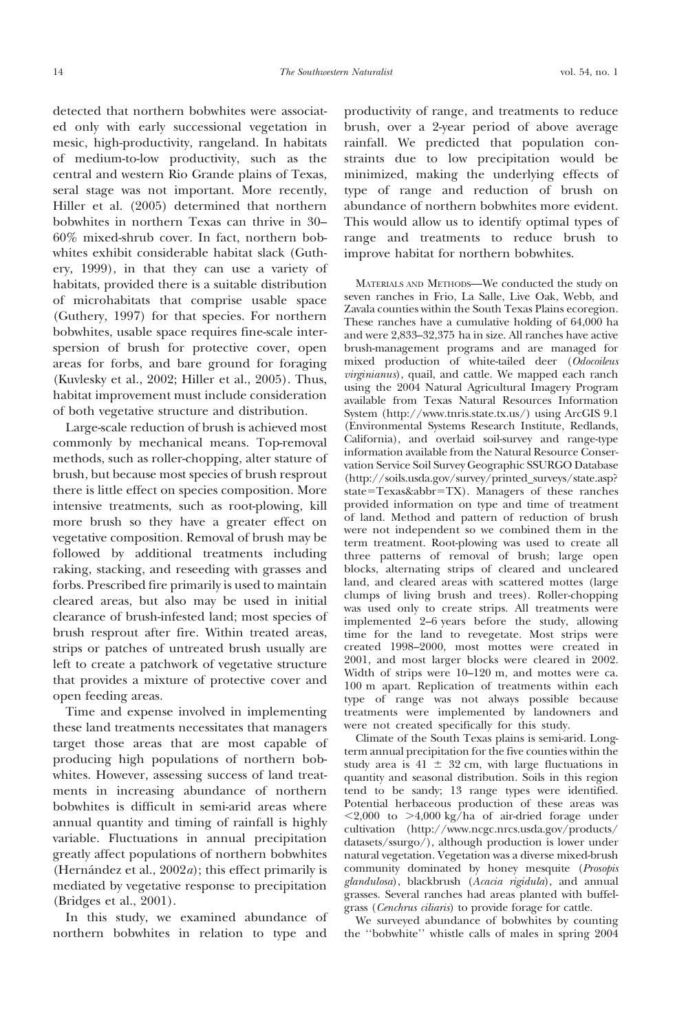detected that northern bobwhites were associated only with early successional vegetation in mesic, high-productivity, rangeland. In habitats of medium-to-low productivity, such as the central and western Rio Grande plains of Texas, seral stage was not important. More recently, Hiller et al. (2005) determined that northern bobwhites in northern Texas can thrive in 30– 60% mixed-shrub cover. In fact, northern bobwhites exhibit considerable habitat slack (Guthery, 1999), in that they can use a variety of habitats, provided there is a suitable distribution of microhabitats that comprise usable space (Guthery, 1997) for that species. For northern bobwhites, usable space requires fine-scale interspersion of brush for protective cover, open areas for forbs, and bare ground for foraging (Kuvlesky et al., 2002; Hiller et al., 2005). Thus, habitat improvement must include consideration of both vegetative structure and distribution.

Large-scale reduction of brush is achieved most commonly by mechanical means. Top-removal methods, such as roller-chopping, alter stature of brush, but because most species of brush resprout there is little effect on species composition. More intensive treatments, such as root-plowing, kill more brush so they have a greater effect on vegetative composition. Removal of brush may be followed by additional treatments including raking, stacking, and reseeding with grasses and forbs. Prescribed fire primarily is used to maintain cleared areas, but also may be used in initial clearance of brush-infested land; most species of brush resprout after fire. Within treated areas, strips or patches of untreated brush usually are left to create a patchwork of vegetative structure that provides a mixture of protective cover and open feeding areas.

Time and expense involved in implementing these land treatments necessitates that managers target those areas that are most capable of producing high populations of northern bobwhites. However, assessing success of land treatments in increasing abundance of northern bobwhites is difficult in semi-arid areas where annual quantity and timing of rainfall is highly variable. Fluctuations in annual precipitation greatly affect populations of northern bobwhites (Hernández et al.,  $2002a$ ); this effect primarily is mediated by vegetative response to precipitation (Bridges et al., 2001).

In this study, we examined abundance of northern bobwhites in relation to type and

productivity of range, and treatments to reduce brush, over a 2-year period of above average rainfall. We predicted that population constraints due to low precipitation would be minimized, making the underlying effects of type of range and reduction of brush on abundance of northern bobwhites more evident. This would allow us to identify optimal types of range and treatments to reduce brush to improve habitat for northern bobwhites.

MATERIALS AND METHODS—We conducted the study on seven ranches in Frio, La Salle, Live Oak, Webb, and Zavala counties within the South Texas Plains ecoregion. These ranches have a cumulative holding of 64,000 ha and were 2,833–32,375 ha in size. All ranches have active brush-management programs and are managed for mixed production of white-tailed deer (Odocoileus virginianus), quail, and cattle. We mapped each ranch using the 2004 Natural Agricultural Imagery Program available from Texas Natural Resources Information System (http://www.tnris.state.tx.us/) using ArcGIS 9.1 (Environmental Systems Research Institute, Redlands, California), and overlaid soil-survey and range-type information available from the Natural Resource Conservation Service Soil Survey Geographic SSURGO Database (http://soils.usda.gov/survey/printed\_surveys/state.asp? state=Texas&abbr=TX). Managers of these ranches provided information on type and time of treatment of land. Method and pattern of reduction of brush were not independent so we combined them in the term treatment. Root-plowing was used to create all three patterns of removal of brush; large open blocks, alternating strips of cleared and uncleared land, and cleared areas with scattered mottes (large clumps of living brush and trees). Roller-chopping was used only to create strips. All treatments were implemented 2–6 years before the study, allowing time for the land to revegetate. Most strips were created 1998–2000, most mottes were created in 2001, and most larger blocks were cleared in 2002. Width of strips were 10–120 m, and mottes were ca. 100 m apart. Replication of treatments within each type of range was not always possible because treatments were implemented by landowners and were not created specifically for this study.

Climate of the South Texas plains is semi-arid. Longterm annual precipitation for the five counties within the study area is 41  $\pm$  32 cm, with large fluctuations in quantity and seasonal distribution. Soils in this region tend to be sandy; 13 range types were identified. Potential herbaceous production of these areas was  $\langle 2,000 \rangle$  to  $\langle 2,000 \rangle$  kg/ha of air-dried forage under cultivation (http://www.ncgc.nrcs.usda.gov/products/ datasets/ssurgo/), although production is lower under natural vegetation. Vegetation was a diverse mixed-brush community dominated by honey mesquite (Prosopis glandulosa), blackbrush (Acacia rigidula), and annual grasses. Several ranches had areas planted with buffelgrass (Cenchrus ciliaris) to provide forage for cattle.

We surveyed abundance of bobwhites by counting the ''bobwhite'' whistle calls of males in spring 2004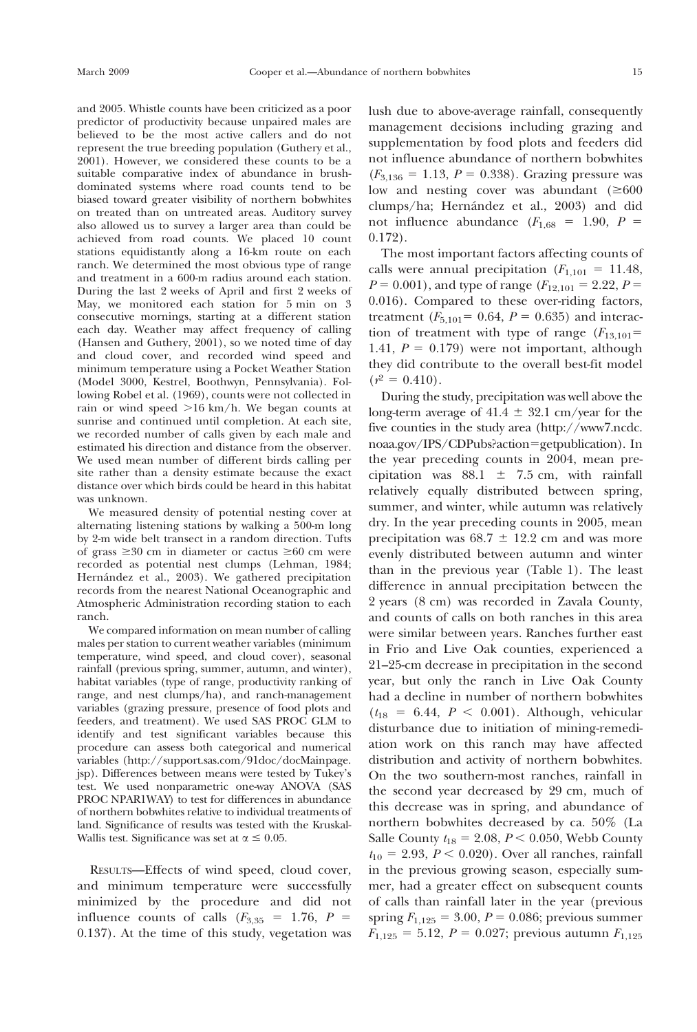and 2005. Whistle counts have been criticized as a poor predictor of productivity because unpaired males are believed to be the most active callers and do not represent the true breeding population (Guthery et al., 2001). However, we considered these counts to be a suitable comparative index of abundance in brushdominated systems where road counts tend to be biased toward greater visibility of northern bobwhites on treated than on untreated areas. Auditory survey also allowed us to survey a larger area than could be achieved from road counts. We placed 10 count stations equidistantly along a 16-km route on each ranch. We determined the most obvious type of range and treatment in a 600-m radius around each station. During the last 2 weeks of April and first 2 weeks of May, we monitored each station for 5 min on 3 consecutive mornings, starting at a different station each day. Weather may affect frequency of calling (Hansen and Guthery, 2001), so we noted time of day and cloud cover, and recorded wind speed and minimum temperature using a Pocket Weather Station (Model 3000, Kestrel, Boothwyn, Pennsylvania). Following Robel et al. (1969), counts were not collected in rain or wind speed  $>16$  km/h. We began counts at sunrise and continued until completion. At each site, we recorded number of calls given by each male and estimated his direction and distance from the observer. We used mean number of different birds calling per site rather than a density estimate because the exact distance over which birds could be heard in this habitat was unknown.

We measured density of potential nesting cover at alternating listening stations by walking a 500-m long by 2-m wide belt transect in a random direction. Tufts of grass  $\geq 30$  cm in diameter or cactus  $\geq 60$  cm were recorded as potential nest clumps (Lehman, 1984; Hernández et al., 2003). We gathered precipitation records from the nearest National Oceanographic and Atmospheric Administration recording station to each ranch.

We compared information on mean number of calling males per station to current weather variables (minimum temperature, wind speed, and cloud cover), seasonal rainfall (previous spring, summer, autumn, and winter), habitat variables (type of range, productivity ranking of range, and nest clumps/ha), and ranch-management variables (grazing pressure, presence of food plots and feeders, and treatment). We used SAS PROC GLM to identify and test significant variables because this procedure can assess both categorical and numerical variables (http://support.sas.com/91doc/docMainpage. jsp). Differences between means were tested by Tukey's test. We used nonparametric one-way ANOVA (SAS PROC NPAR1WAY) to test for differences in abundance of northern bobwhites relative to individual treatments of land. Significance of results was tested with the Kruskal-Wallis test. Significance was set at  $\alpha \leq 0.05$ .

RESULTS—Effects of wind speed, cloud cover, and minimum temperature were successfully minimized by the procedure and did not influence counts of calls  $(F_{3,35} = 1.76, P =$ 0.137). At the time of this study, vegetation was lush due to above-average rainfall, consequently management decisions including grazing and supplementation by food plots and feeders did not influence abundance of northern bobwhites  $(F_{3,136} = 1.13, P = 0.338)$ . Grazing pressure was low and nesting cover was abundant  $(\geq 600$ clumps/ha; Hernández et al., 2003) and did not influence abundance  $(F_{1,68} = 1.90, P =$ 0.172).

The most important factors affecting counts of calls were annual precipitation  $(F_{1,101} = 11.48)$ ,  $P = 0.001$ ), and type of range ( $F_{12,101} = 2.22$ ,  $P =$ 0.016). Compared to these over-riding factors, treatment  $(F_{5,101} = 0.64, P = 0.635)$  and interaction of treatment with type of range  $(F_{13,101}$ = 1.41,  $P = 0.179$ ) were not important, although they did contribute to the overall best-fit model  $(r^2 = 0.410)$ .

During the study, precipitation was well above the long-term average of  $41.4 \pm 32.1$  cm/year for the five counties in the study area (http://www7.ncdc. noaa.gov/IPS/CDPubs?action=getpublication). In the year preceding counts in 2004, mean precipitation was  $88.1 \pm 7.5$  cm, with rainfall relatively equally distributed between spring, summer, and winter, while autumn was relatively dry. In the year preceding counts in 2005, mean precipitation was  $68.7 \pm 12.2$  cm and was more evenly distributed between autumn and winter than in the previous year (Table 1). The least difference in annual precipitation between the 2 years (8 cm) was recorded in Zavala County, and counts of calls on both ranches in this area were similar between years. Ranches further east in Frio and Live Oak counties, experienced a 21–25-cm decrease in precipitation in the second year, but only the ranch in Live Oak County had a decline in number of northern bobwhites  $(t_{18} = 6.44, P < 0.001)$ . Although, vehicular disturbance due to initiation of mining-remediation work on this ranch may have affected distribution and activity of northern bobwhites. On the two southern-most ranches, rainfall in the second year decreased by 29 cm, much of this decrease was in spring, and abundance of northern bobwhites decreased by ca. 50% (La Salle County  $t_{18} = 2.08, P < 0.050$ , Webb County  $t_{10} = 2.93, P < 0.020$ . Over all ranches, rainfall in the previous growing season, especially summer, had a greater effect on subsequent counts of calls than rainfall later in the year (previous spring  $F_{1,125} = 3.00, P = 0.086$ ; previous summer  $F_{1,125} = 5.12, P = 0.027$ ; previous autumn  $F_{1,125}$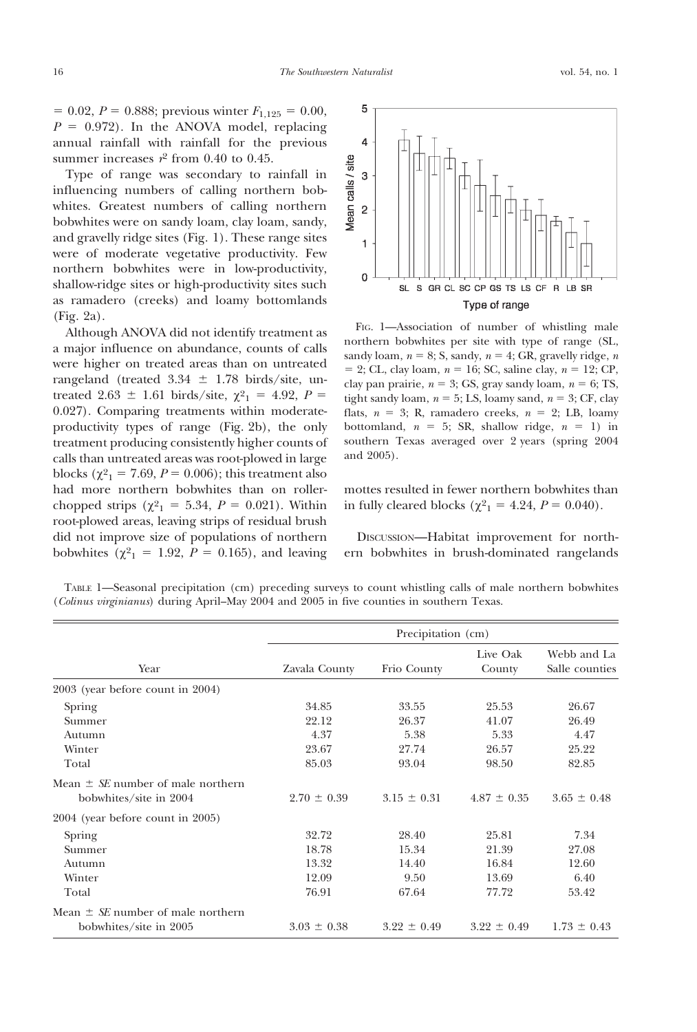Type of range was secondary to rainfall in influencing numbers of calling northern bobwhites. Greatest numbers of calling northern bobwhites were on sandy loam, clay loam, sandy, and gravelly ridge sites (Fig. 1). These range sites were of moderate vegetative productivity. Few northern bobwhites were in low-productivity, shallow-ridge sites or high-productivity sites such as ramadero (creeks) and loamy bottomlands (Fig. 2a).

Although ANOVA did not identify treatment as a major influence on abundance, counts of calls were higher on treated areas than on untreated rangeland (treated  $3.34 \pm 1.78$  birds/site, untreated 2.63  $\pm$  1.61 birds/site,  $\chi^2_1 = 4.92$ ,  $P =$ 0.027). Comparing treatments within moderateproductivity types of range (Fig. 2b), the only treatment producing consistently higher counts of calls than untreated areas was root-plowed in large blocks ( $\chi^2$ <sub>1</sub> = 7.69, *P* = 0.006); this treatment also had more northern bobwhites than on rollerchopped strips ( $\chi^2$ <sub>1</sub> = 5.34, *P* = 0.021). Within root-plowed areas, leaving strips of residual brush did not improve size of populations of northern bobwhites ( $\chi^2$ <sub>1</sub> = 1.92, *P* = 0.165), and leaving

clay pan prairie,  $n = 3$ ; GS, gray sandy loam,  $n = 6$ ; TS, tight sandy loam,  $n = 5$ ; LS, loamy sand,  $n = 3$ ; CF, clay flats,  $n = 3$ ; R, ramadero creeks,  $n = 2$ ; LB, loamy bottomland,  $n = 5$ ; SR, shallow ridge,  $n = 1$ ) in southern Texas averaged over 2 years (spring 2004 and 2005).

mottes resulted in fewer northern bobwhites than in fully cleared blocks ( $\chi^2 = 4.24$ ,  $P = 0.040$ ).

DISCUSSION—Habitat improvement for northern bobwhites in brush-dominated rangelands

TABLE 1—Seasonal precipitation (cm) preceding surveys to count whistling calls of male northern bobwhites (Colinus virginianus) during April–May 2004 and 2005 in five counties in southern Texas.

| Year                                                            | Precipitation (cm) |                 |                    |                               |
|-----------------------------------------------------------------|--------------------|-----------------|--------------------|-------------------------------|
|                                                                 | Zavala County      | Frio County     | Live Oak<br>County | Webb and La<br>Salle counties |
| 2003 (year before count in 2004)                                |                    |                 |                    |                               |
| Spring                                                          | 34.85              | 33.55           | 25.53              | 26.67                         |
| Summer                                                          | 22.12              | 26.37           | 41.07              | 26.49                         |
| Autumn                                                          | 4.37               | 5.38            | 5.33               | 4.47                          |
| Winter                                                          | 23.67              | 27.74           | 26.57              | 25.22                         |
| Total                                                           | 85.03              | 93.04           | 98.50              | 82.85                         |
| Mean $\pm$ SE number of male northern<br>bobwhites/site in 2004 | $2.70 \pm 0.39$    | $3.15 \pm 0.31$ | $4.87 \pm 0.35$    | $3.65 \pm 0.48$               |
| 2004 (year before count in 2005)                                |                    |                 |                    |                               |
| Spring                                                          | 32.72              | 28.40           | 25.81              | 7.34                          |
| Summer                                                          | 18.78              | 15.34           | 21.39              | 27.08                         |
| Autumn                                                          | 13.32              | 14.40           | 16.84              | 12.60                         |
| Winter                                                          | 12.09              | 9.50            | 13.69              | 6.40                          |
| Total                                                           | 76.91              | 67.64           | 77.72              | 53.42                         |
| Mean $\pm$ <i>SE</i> number of male northern                    |                    |                 |                    |                               |
| bobwhites/site in 2005                                          | $3.03 \pm 0.38$    | $3.22 \pm 0.49$ | $3.22 \pm 0.49$    | $1.73 \pm 0.43$               |



FIG. 1—Association of number of whistling male northern bobwhites per site with type of range (SL, sandy loam,  $n = 8$ ; S, sandy,  $n = 4$ ; GR, gravelly ridge, n  $= 2$ ; CL, clay loam,  $n = 16$ ; SC, saline clay,  $n = 12$ ; CP,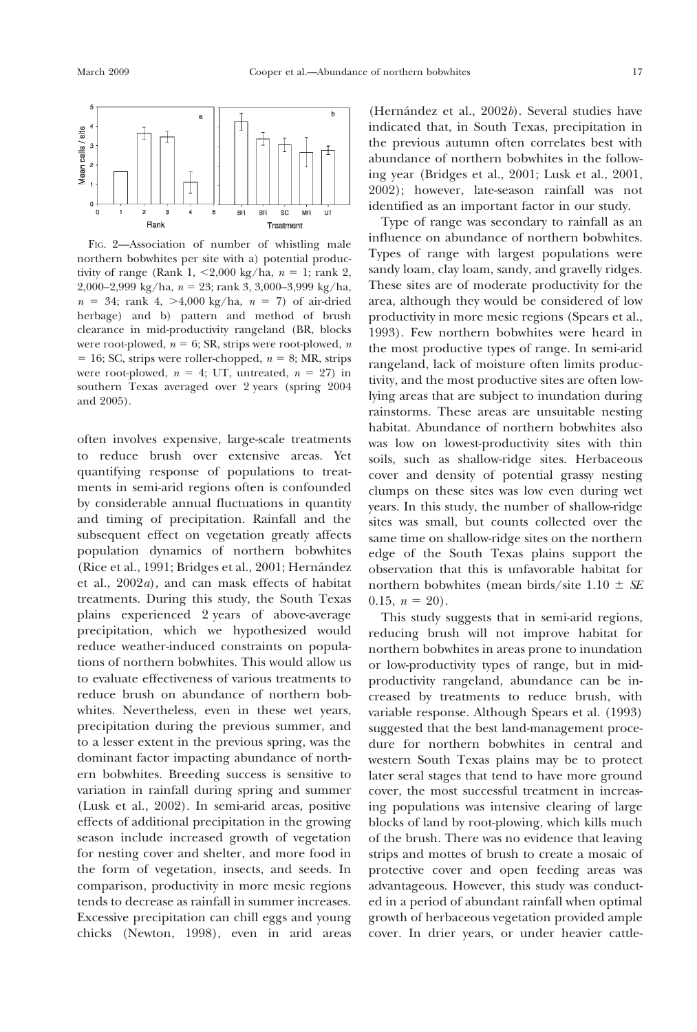

FIG. 2—Association of number of whistling male northern bobwhites per site with a) potential productivity of range (Rank 1,  $\langle 2,000 \text{ kg/ha}, n = 1$ ; rank 2, 2,000–2,999 kg/ha,  $n = 23$ ; rank 3, 3,000–3,999 kg/ha,  $n = 34$ ; rank 4, >4,000 kg/ha,  $n = 7$ ) of air-dried herbage) and b) pattern and method of brush clearance in mid-productivity rangeland (BR, blocks were root-plowed,  $n = 6$ ; SR, strips were root-plowed, n  $= 16$ ; SC, strips were roller-chopped,  $n = 8$ ; MR, strips were root-plowed,  $n = 4$ ; UT, untreated,  $n = 27$ ) in southern Texas averaged over 2 years (spring 2004 and 2005).

often involves expensive, large-scale treatments to reduce brush over extensive areas. Yet quantifying response of populations to treatments in semi-arid regions often is confounded by considerable annual fluctuations in quantity and timing of precipitation. Rainfall and the subsequent effect on vegetation greatly affects population dynamics of northern bobwhites (Rice et al., 1991; Bridges et al., 2001; Hernández et al., 2002a), and can mask effects of habitat treatments. During this study, the South Texas plains experienced 2 years of above-average precipitation, which we hypothesized would reduce weather-induced constraints on populations of northern bobwhites. This would allow us to evaluate effectiveness of various treatments to reduce brush on abundance of northern bobwhites. Nevertheless, even in these wet years, precipitation during the previous summer, and to a lesser extent in the previous spring, was the dominant factor impacting abundance of northern bobwhites. Breeding success is sensitive to variation in rainfall during spring and summer (Lusk et al., 2002). In semi-arid areas, positive effects of additional precipitation in the growing season include increased growth of vegetation for nesting cover and shelter, and more food in the form of vegetation, insects, and seeds. In comparison, productivity in more mesic regions tends to decrease as rainfall in summer increases. Excessive precipitation can chill eggs and young chicks (Newton, 1998), even in arid areas

(Hernández et al., 2002b). Several studies have indicated that, in South Texas, precipitation in the previous autumn often correlates best with abundance of northern bobwhites in the following year (Bridges et al., 2001; Lusk et al., 2001, 2002); however, late-season rainfall was not identified as an important factor in our study.

Type of range was secondary to rainfall as an influence on abundance of northern bobwhites. Types of range with largest populations were sandy loam, clay loam, sandy, and gravelly ridges. These sites are of moderate productivity for the area, although they would be considered of low productivity in more mesic regions (Spears et al., 1993). Few northern bobwhites were heard in the most productive types of range. In semi-arid rangeland, lack of moisture often limits productivity, and the most productive sites are often lowlying areas that are subject to inundation during rainstorms. These areas are unsuitable nesting habitat. Abundance of northern bobwhites also was low on lowest-productivity sites with thin soils, such as shallow-ridge sites. Herbaceous cover and density of potential grassy nesting clumps on these sites was low even during wet years. In this study, the number of shallow-ridge sites was small, but counts collected over the same time on shallow-ridge sites on the northern edge of the South Texas plains support the observation that this is unfavorable habitat for northern bobwhites (mean birds/site  $1.10 \pm SE$ 0.15,  $n = 20$ .

This study suggests that in semi-arid regions, reducing brush will not improve habitat for northern bobwhites in areas prone to inundation or low-productivity types of range, but in midproductivity rangeland, abundance can be increased by treatments to reduce brush, with variable response. Although Spears et al. (1993) suggested that the best land-management procedure for northern bobwhites in central and western South Texas plains may be to protect later seral stages that tend to have more ground cover, the most successful treatment in increasing populations was intensive clearing of large blocks of land by root-plowing, which kills much of the brush. There was no evidence that leaving strips and mottes of brush to create a mosaic of protective cover and open feeding areas was advantageous. However, this study was conducted in a period of abundant rainfall when optimal growth of herbaceous vegetation provided ample cover. In drier years, or under heavier cattle